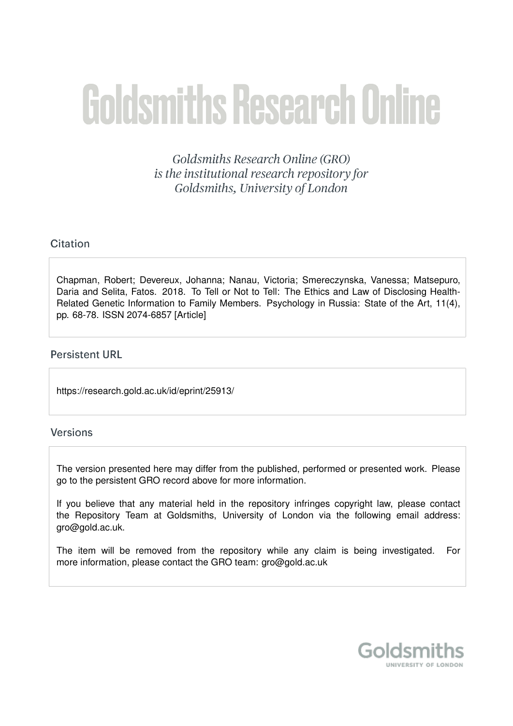# **Goldsmiths Research Online**

Goldsmiths Research Online (GRO) is the institutional research repository for Goldsmiths, University of London

# Citation

Chapman, Robert; Devereux, Johanna; Nanau, Victoria; Smereczynska, Vanessa; Matsepuro, Daria and Selita, Fatos. 2018. To Tell or Not to Tell: The Ethics and Law of Disclosing Health-Related Genetic Information to Family Members. Psychology in Russia: State of the Art, 11(4), pp. 68-78. ISSN 2074-6857 [Article]

# **Persistent URL**

https://research.gold.ac.uk/id/eprint/25913/

# Versions

The version presented here may differ from the published, performed or presented work. Please go to the persistent GRO record above for more information.

If you believe that any material held in the repository infringes copyright law, please contact the Repository Team at Goldsmiths, University of London via the following email address: gro@gold.ac.uk.

The item will be removed from the repository while any claim is being investigated. For more information, please contact the GRO team: gro@gold.ac.uk

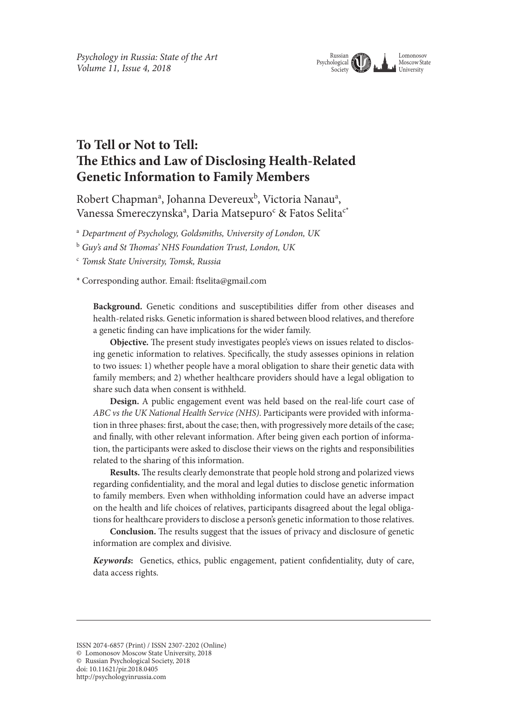

# **To Tell or Not to Tell: Te Ethics and Law of Disclosing Health-Related Genetic Information to Family Members**

Robert Chapman<sup>a</sup>, Johanna Devereux<sup>b</sup>, Victoria Nanau<sup>a</sup>, Vanessa Smereczynskaª, Daria Matsepuro<sup>c</sup> & Fatos Selita<sup>c\*</sup>

<sup>a</sup> *Department of Psychology, Goldsmiths, University of London, UK*

<sup>b</sup> *Guy's and St* T*omas' NHS Foundation Trust, London, UK* 

<sup>c</sup> *Tomsk State University, Tomsk, Russia*

\* Corresponding author. Email: fselita@gmail.com

**Background.** Genetic conditions and susceptibilities difer from other diseases and health-related risks. Genetic information is shared between blood relatives, and therefore a genetic fnding can have implications for the wider family.

Objective. The present study investigates people's views on issues related to disclosing genetic information to relatives. Specifcally, the study assesses opinions in relation to two issues: 1) whether people have a moral obligation to share their genetic data with family members; and 2) whether healthcare providers should have a legal obligation to share such data when consent is withheld.

**Design.** A public engagement event was held based on the real-life court case of *ABC vs the UK National Health Service (NHS)*. Participants were provided with information in three phases: frst, about the case; then, with progressively more details of the case; and fnally, with other relevant information. Afer being given each portion of information, the participants were asked to disclose their views on the rights and responsibilities related to the sharing of this information.

Results. The results clearly demonstrate that people hold strong and polarized views regarding confdentiality, and the moral and legal duties to disclose genetic information to family members. Even when withholding information could have an adverse impact on the health and life choices of relatives, participants disagreed about the legal obligations for healthcare providers to disclose a person's genetic information to those relatives.

Conclusion. The results suggest that the issues of privacy and disclosure of genetic information are complex and divisive.

*Keywords***:** Genetics, ethics, public engagement, patient confdentiality, duty of care, data access rights.

ISSN 2074-6857 (Print) / ISSN 2307-2202 (Online)

<sup>©</sup> Lomonosov Moscow State University, 2018

<sup>©</sup> Russian Psychological Society, 2018

doi: 10.11621/pir.2018.0405

http://psychologyinrussia.com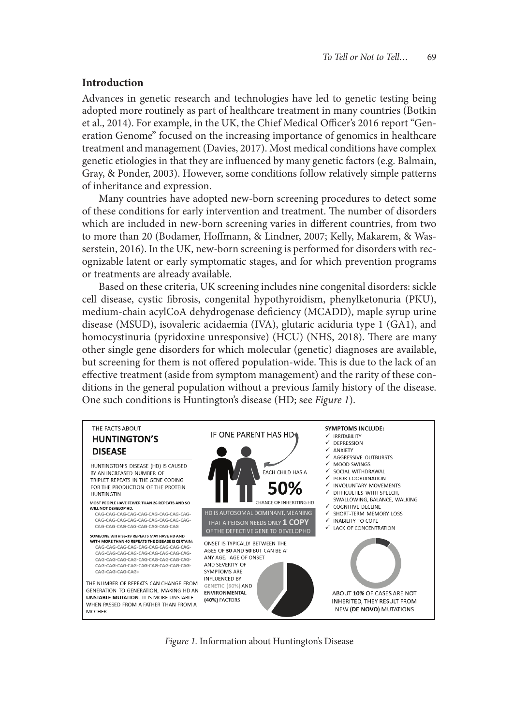#### **Introduction**

Advances in genetic research and technologies have led to genetic testing being adopted more routinely as part of healthcare treatment in many countries (Botkin et al., 2014). For example, in the UK, the Chief Medical Officer's 2016 report "Generation Genome" focused on the increasing importance of genomics in healthcare treatment and management (Davies, 2017). Most medical conditions have complex genetic etiologies in that they are infuenced by many genetic factors (e.g. Balmain, Gray, & Ponder, 2003). However, some conditions follow relatively simple patterns of inheritance and expression.

Many countries have adopted new-born screening procedures to detect some of these conditions for early intervention and treatment. The number of disorders which are included in new-born screening varies in diferent countries, from two to more than 20 (Bodamer, Hofmann, & Lindner, 2007; Kelly, Makarem, & Wasserstein, 2016). In the UK, new-born screening is performed for disorders with recognizable latent or early symptomatic stages, and for which prevention programs or treatments are already available.

Based on these criteria, UK screening includes nine congenital disorders: sickle cell disease, cystic fbrosis, congenital hypothyroidism, phenylketonuria (PKU), medium-chain acylCoA dehydrogenase defciency (MCADD), maple syrup urine disease (MSUD), isovaleric acidaemia (IVA), glutaric aciduria type 1 (GA1), and homocystinuria (pyridoxine unresponsive) (HCU) (NHS, 2018). There are many other single gene disorders for which molecular (genetic) diagnoses are available, but screening for them is not offered population-wide. This is due to the lack of an efective treatment (aside from symptom management) and the rarity of these conditions in the general population without a previous family history of the disease. One such conditions is Huntington's disease (HD; see *Figure 1*).



*Figure 1.* Information about Huntington's Disease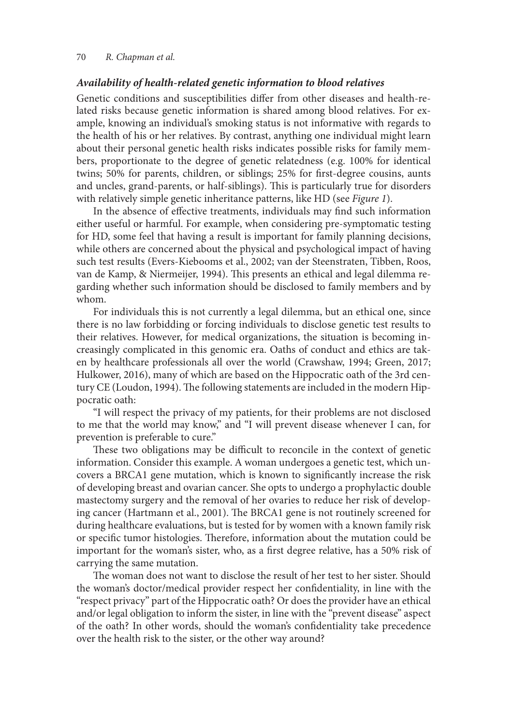#### 70 *R. Chapman et al.*

#### *Availability of health-related genetic information to blood relatives*

Genetic conditions and susceptibilities difer from other diseases and health-related risks because genetic information is shared among blood relatives. For example, knowing an individual's smoking status is not informative with regards to the health of his or her relatives. By contrast, anything one individual might learn about their personal genetic health risks indicates possible risks for family members, proportionate to the degree of genetic relatedness (e.g. 100% for identical twins; 50% for parents, children, or siblings; 25% for frst-degree cousins, aunts and uncles, grand-parents, or half-siblings). This is particularly true for disorders with relatively simple genetic inheritance patterns, like HD (see *Figure 1*).

In the absence of efective treatments, individuals may fnd such information either useful or harmful. For example, when considering pre-symptomatic testing for HD, some feel that having a result is important for family planning decisions, while others are concerned about the physical and psychological impact of having such test results (Evers-Kiebooms et al., 2002; van der Steenstraten, Tibben, Roos, van de Kamp, & Niermeijer, 1994). This presents an ethical and legal dilemma regarding whether such information should be disclosed to family members and by whom.

For individuals this is not currently a legal dilemma, but an ethical one, since there is no law forbidding or forcing individuals to disclose genetic test results to their relatives. However, for medical organizations, the situation is becoming increasingly complicated in this genomic era. Oaths of conduct and ethics are taken by healthcare professionals all over the world (Crawshaw, 1994; Green, 2017; Hulkower, 2016), many of which are based on the Hippocratic oath of the 3rd century CE (Loudon, 1994). The following statements are included in the modern Hippocratic oath:

"I will respect the privacy of my patients, for their problems are not disclosed to me that the world may know," and "I will prevent disease whenever I can, for prevention is preferable to cure."

These two obligations may be difficult to reconcile in the context of genetic information. Consider this example. A woman undergoes a genetic test, which uncovers a BRCA1 gene mutation, which is known to signifcantly increase the risk of developing breast and ovarian cancer. She opts to undergo a prophylactic double mastectomy surgery and the removal of her ovaries to reduce her risk of developing cancer (Hartmann et al., 2001). The BRCA1 gene is not routinely screened for during healthcare evaluations, but is tested for by women with a known family risk or specific tumor histologies. Therefore, information about the mutation could be important for the woman's sister, who, as a frst degree relative, has a 50% risk of carrying the same mutation.

The woman does not want to disclose the result of her test to her sister. Should the woman's doctor/medical provider respect her confdentiality, in line with the "respect privacy" part of the Hippocratic oath? Or does the provider have an ethical and/or legal obligation to inform the sister, in line with the "prevent disease" aspect of the oath? In other words, should the woman's confdentiality take precedence over the health risk to the sister, or the other way around?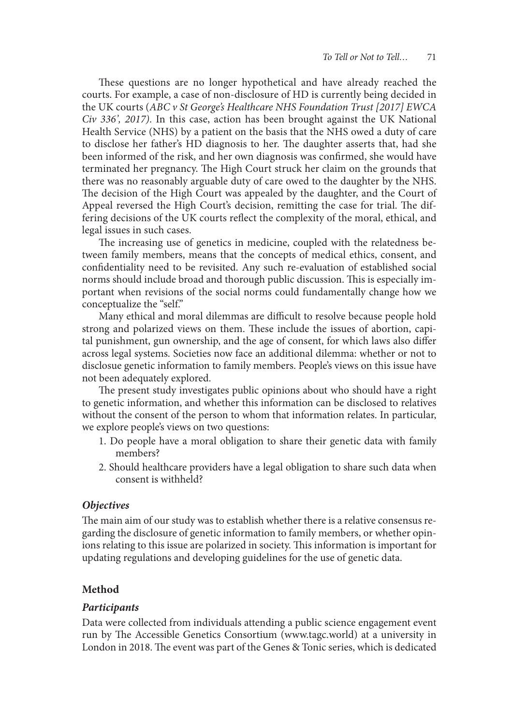These questions are no longer hypothetical and have already reached the courts. For example, a case of non-disclosure of HD is currently being decided in the UK courts (*ABC v St George's Healthcare NHS Foundation Trust [2017] EWCA Civ 336', 2017)*. In this case, action has been brought against the UK National Health Service (NHS) by a patient on the basis that the NHS owed a duty of care to disclose her father's HD diagnosis to her. The daughter asserts that, had she been informed of the risk, and her own diagnosis was confrmed, she would have terminated her pregnancy. The High Court struck her claim on the grounds that there was no reasonably arguable duty of care owed to the daughter by the NHS. The decision of the High Court was appealed by the daughter, and the Court of Appeal reversed the High Court's decision, remitting the case for trial. The differing decisions of the UK courts refect the complexity of the moral, ethical, and legal issues in such cases.

The increasing use of genetics in medicine, coupled with the relatedness between family members, means that the concepts of medical ethics, consent, and confdentiality need to be revisited. Any such re-evaluation of established social norms should include broad and thorough public discussion. This is especially important when revisions of the social norms could fundamentally change how we conceptualize the "self."

Many ethical and moral dilemmas are difficult to resolve because people hold strong and polarized views on them. These include the issues of abortion, capital punishment, gun ownership, and the age of consent, for which laws also difer across legal systems. Societies now face an additional dilemma: whether or not to disclosue genetic information to family members. People's views on this issue have not been adequately explored.

The present study investigates public opinions about who should have a right to genetic information, and whether this information can be disclosed to relatives without the consent of the person to whom that information relates. In particular, we explore people's views on two questions:

- 1. Do people have a moral obligation to share their genetic data with family members?
- 2. Should healthcare providers have a legal obligation to share such data when consent is withheld?

#### *Objectives*

The main aim of our study was to establish whether there is a relative consensus regarding the disclosure of genetic information to family members, or whether opinions relating to this issue are polarized in society. This information is important for updating regulations and developing guidelines for the use of genetic data.

# **Method**

#### *Participants*

Data were collected from individuals attending a public science engagement event run by The Accessible Genetics Consortium (www.tagc.world) at a university in London in 2018. The event was part of the Genes & Tonic series, which is dedicated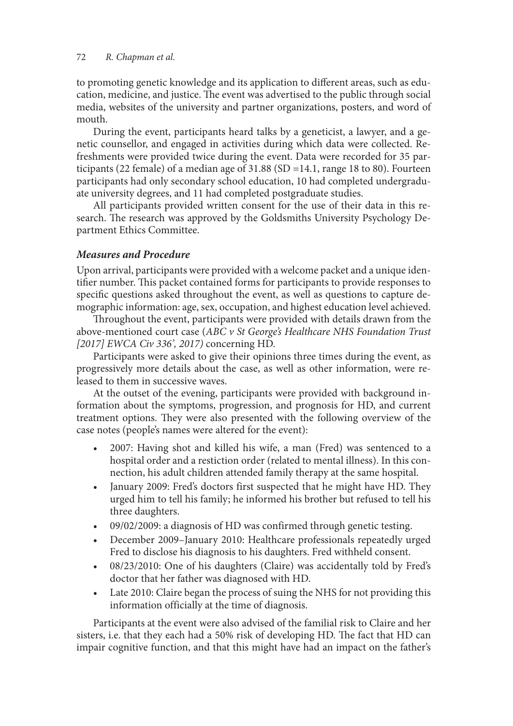# 72 *R. Chapman et al.*

to promoting genetic knowledge and its application to diferent areas, such as education, medicine, and justice. The event was advertised to the public through social media, websites of the university and partner organizations, posters, and word of mouth.

During the event, participants heard talks by a geneticist, a lawyer, and a genetic counsellor, and engaged in activities during which data were collected. Refreshments were provided twice during the event. Data were recorded for 35 participants (22 female) of a median age of 31.88 (SD =14.1, range 18 to 80). Fourteen participants had only secondary school education, 10 had completed undergraduate university degrees, and 11 had completed postgraduate studies.

All participants provided written consent for the use of their data in this research. The research was approved by the Goldsmiths University Psychology Department Ethics Committee.

# *Measures and Procedure*

Upon arrival, participants were provided with a welcome packet and a unique identifier number. This packet contained forms for participants to provide responses to specifc questions asked throughout the event, as well as questions to capture demographic information: age, sex, occupation, and highest education level achieved.

Throughout the event, participants were provided with details drawn from the above-mentioned court case (*ABC v St George's Healthcare NHS Foundation Trust [2017] EWCA Civ 336', 2017)* concerning HD.

Participants were asked to give their opinions three times during the event, as progressively more details about the case, as well as other information, were released to them in successive waves.

At the outset of the evening, participants were provided with background information about the symptoms, progression, and prognosis for HD, and current treatment options. They were also presented with the following overview of the case notes (people's names were altered for the event):

- 2007: Having shot and killed his wife, a man (Fred) was sentenced to a hospital order and a restiction order (related to mental illness). In this connection, his adult children attended family therapy at the same hospital.
- January 2009: Fred's doctors first suspected that he might have HD. They urged him to tell his family; he informed his brother but refused to tell his three daughters.
- $09/02/2009$ : a diagnosis of HD was confirmed through genetic testing.
- December 2009-January 2010: Healthcare professionals repeatedly urged Fred to disclose his diagnosis to his daughters. Fred withheld consent.
- 08/23/2010: One of his daughters (Claire) was accidentally told by Fred's doctor that her father was diagnosed with HD.
- Late 2010: Claire began the process of suing the NHS for not providing this information officially at the time of diagnosis.

Participants at the event were also advised of the familial risk to Claire and her sisters, i.e. that they each had a 50% risk of developing HD. The fact that HD can impair cognitive function, and that this might have had an impact on the father's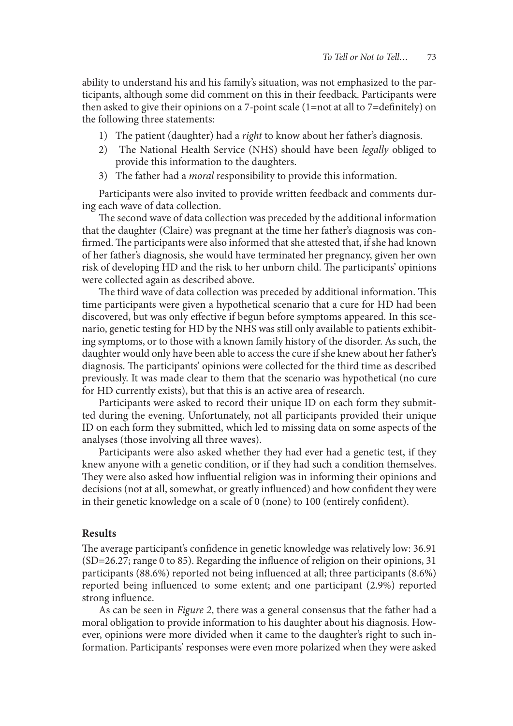ability to understand his and his family's situation, was not emphasized to the participants, although some did comment on this in their feedback. Participants were then asked to give their opinions on a 7-point scale (1=not at all to 7=defnitely) on the following three statements:

- 1) The patient (daughter) had a *right* to know about her father's diagnosis.
- 2) The National Health Service (NHS) should have been *legally* obliged to provide this information to the daughters.
- 3) The father had a *moral* responsibility to provide this information.

Participants were also invited to provide written feedback and comments during each wave of data collection.

The second wave of data collection was preceded by the additional information that the daughter (Claire) was pregnant at the time her father's diagnosis was confirmed. The participants were also informed that she attested that, if she had known of her father's diagnosis, she would have terminated her pregnancy, given her own risk of developing HD and the risk to her unborn child. The participants' opinions were collected again as described above.

The third wave of data collection was preceded by additional information. This time participants were given a hypothetical scenario that a cure for HD had been discovered, but was only efective if begun before symptoms appeared. In this scenario, genetic testing for HD by the NHS was still only available to patients exhibiting symptoms, or to those with a known family history of the disorder. As such, the daughter would only have been able to access the cure if she knew about her father's diagnosis. The participants' opinions were collected for the third time as described previously. It was made clear to them that the scenario was hypothetical (no cure for HD currently exists), but that this is an active area of research.

Participants were asked to record their unique ID on each form they submitted during the evening. Unfortunately, not all participants provided their unique ID on each form they submitted, which led to missing data on some aspects of the analyses (those involving all three waves).

Participants were also asked whether they had ever had a genetic test, if they knew anyone with a genetic condition, or if they had such a condition themselves. They were also asked how influential religion was in informing their opinions and decisions (not at all, somewhat, or greatly infuenced) and how confdent they were in their genetic knowledge on a scale of 0 (none) to 100 (entirely confdent).

# **Results**

The average participant's confidence in genetic knowledge was relatively low: 36.91 (SD=26.27; range 0 to 85). Regarding the infuence of religion on their opinions, 31 participants (88.6%) reported not being infuenced at all; three participants (8.6%) reported being infuenced to some extent; and one participant (2.9%) reported strong infuence.

As can be seen in *Figure 2*, there was a general consensus that the father had a moral obligation to provide information to his daughter about his diagnosis. However, opinions were more divided when it came to the daughter's right to such information. Participants' responses were even more polarized when they were asked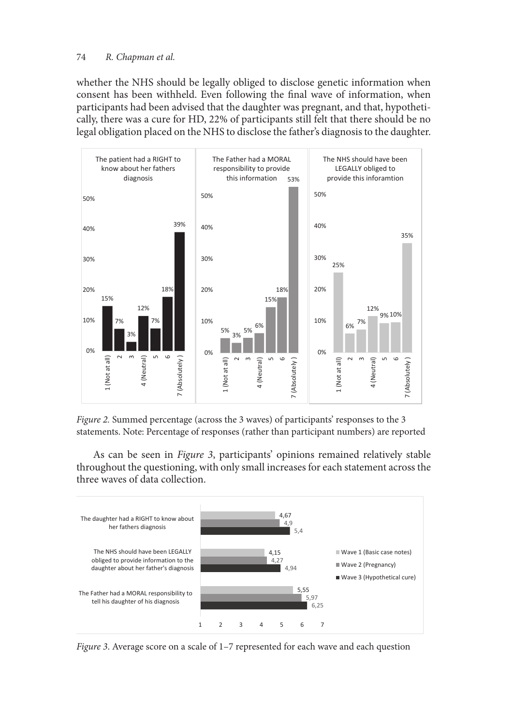# 74 *R. Chapman et al.*

whether the NHS should be legally obliged to disclose genetic information when consent has been withheld. Even following the fnal wave of information, when participants had been advised that the daughter was pregnant, and that, hypothetically, there was a cure for HD, 22% of participants still felt that there should be no legal obligation placed on the NHS to disclose the father's diagnosis to the daughter.



*Figure 2.* Summed percentage (across the 3 waves) of participants' responses to the 3 statements. Note: Percentage of responses (rather than participant numbers) are reported

As can be seen in *Figure 3*, participants' opinions remained relatively stable throughout the questioning, with only small increases for each statement across the three waves of data collection.



*Figure 3*. Average score on a scale of 1–7 represented for each wave and each question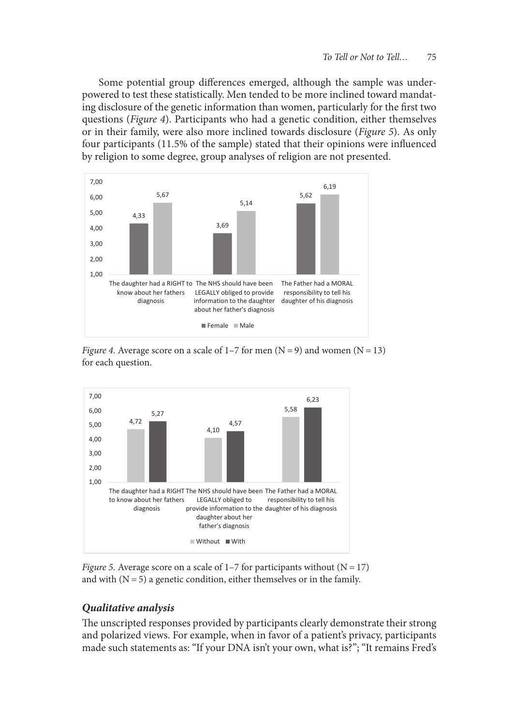Some potential group diferences emerged, although the sample was underpowered to test these statistically. Men tended to be more inclined toward mandating disclosure of the genetic information than women, particularly for the frst two questions (*Figure 4*). Participants who had a genetic condition, either themselves or in their family, were also more inclined towards disclosure (*Figure 5*). As only four participants (11.5% of the sample) stated that their opinions were infuenced by religion to some degree, group analyses of religion are not presented.







*Figure 5.* Average score on a scale of  $1-7$  for participants without ( $N = 17$ ) and with  $(N = 5)$  a genetic condition, either themselves or in the family.

# *Qualitative analysis*

The unscripted responses provided by participants clearly demonstrate their strong and polarized views. For example, when in favor of a patient's privacy, participants made such statements as: "If your DNA isn't your own, what is?"; "It remains Fred's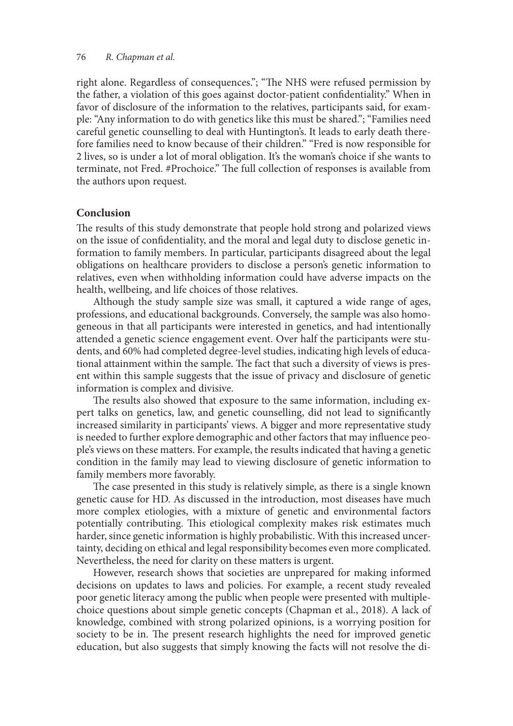right alone. Regardless of consequences."; "The NHS were refused permission by the father, a violation of this goes against doctor-patient confdentiality." When in favor of disclosure of the information to the relatives, participants said, for example: "Any information to do with genetics like this must be shared."; "Families need careful genetic counselling to deal with Huntington's. It leads to early death therefore families need to know because of their children." "Fred is now responsible for 2 lives, so is under a lot of moral obligation. It's the woman's choice if she wants to terminate, not Fred. #Prochoice." The full collection of responses is available from the authors upon request.

#### **Conclusion**

The results of this study demonstrate that people hold strong and polarized views on the issue of confdentiality, and the moral and legal duty to disclose genetic information to family members. In particular, participants disagreed about the legal obligations on healthcare providers to disclose a person's genetic information to relatives, even when withholding information could have adverse impacts on the health, wellbeing, and life choices of those relatives.

Although the study sample size was small, it captured a wide range of ages, professions, and educational backgrounds. Conversely, the sample was also homogeneous in that all participants were interested in genetics, and had intentionally attended a genetic science engagement event. Over half the participants were students, and 60% had completed degree-level studies, indicating high levels of educational attainment within the sample. The fact that such a diversity of views is present within this sample suggests that the issue of privacy and disclosure of genetic information is complex and divisive.

The results also showed that exposure to the same information, including expert talks on genetics, law, and genetic counselling, did not lead to signifcantly increased similarity in participants' views. A bigger and more representative study is needed to further explore demographic and other factors that may infuence people's views on these matters. For example, the results indicated that having a genetic condition in the family may lead to viewing disclosure of genetic information to family members more favorably.

The case presented in this study is relatively simple, as there is a single known genetic cause for HD. As discussed in the introduction, most diseases have much more complex etiologies, with a mixture of genetic and environmental factors potentially contributing. This etiological complexity makes risk estimates much harder, since genetic information is highly probabilistic. With this increased uncertainty, deciding on ethical and legal responsibility becomes even more complicated. Nevertheless, the need for clarity on these matters is urgent.

However, research shows that societies are unprepared for making informed decisions on updates to laws and policies. For example, a recent study revealed poor genetic literacy among the public when people were presented with multiplechoice questions about simple genetic concepts (Chapman et al., 2018). A lack of knowledge, combined with strong polarized opinions, is a worrying position for society to be in. The present research highlights the need for improved genetic education, but also suggests that simply knowing the facts will not resolve the di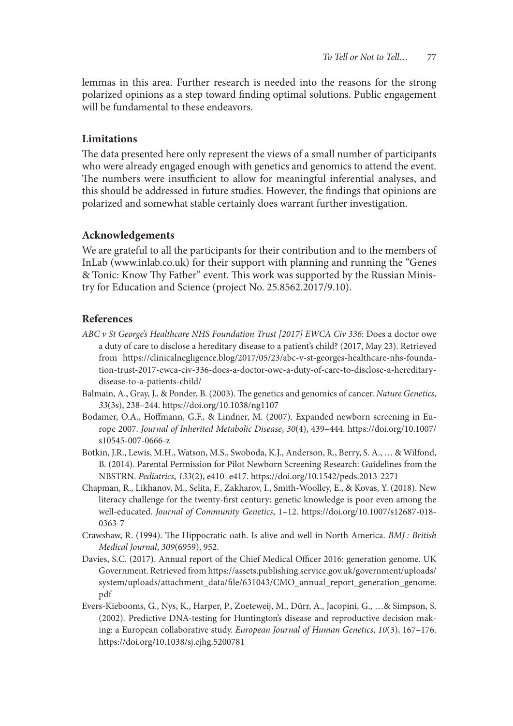lemmas in this area. Further research is needed into the reasons for the strong polarized opinions as a step toward fnding optimal solutions. Public engagement will be fundamental to these endeavors.

# **Limitations**

The data presented here only represent the views of a small number of participants who were already engaged enough with genetics and genomics to attend the event. The numbers were insufficient to allow for meaningful inferential analyses, and this should be addressed in future studies. However, the fndings that opinions are polarized and somewhat stable certainly does warrant further investigation.

#### **Acknowledgements**

We are grateful to all the participants for their contribution and to the members of InLab (www.inlab.co.uk) for their support with planning and running the "Genes & Tonic: Know Thy Father" event. This work was supported by the Russian Ministry for Education and Science (project No. 25.8562.2017/9.10).

# **References**

- *ABC v St George's Healthcare NHS Foundation Trust [2017] EWCA Civ 336*: Does a doctor owe a duty of care to disclose a hereditary disease to a patient's child? (2017, May 23). Retrieved from https://clinicalnegligence.blog/2017/05/23/abc-v-st-georges-healthcare-nhs-foundation-trust-2017-ewca-civ-336-does-a-doctor-owe-a-duty-of-care-to-disclose-a-hereditarydisease-to-a-patients-child/
- Balmain, A., Gray, J., & Ponder, B. (2003). The genetics and genomics of cancer. *Nature Genetics*, *33*(3s), 238–244. https://doi.org/10.1038/ng1107
- Bodamer, O.A., Hofmann, G.F., & Lindner, M. (2007). Expanded newborn screening in Europe 2007. *Journal of Inherited Metabolic Disease*, *30*(4), 439–444. https://doi.org/10.1007/ s10545-007-0666-z
- Botkin, J.R., Lewis, M.H., Watson, M.S., Swoboda, K.J., Anderson, R., Berry, S. A., … & Wilfond, B. (2014). Parental Permission for Pilot Newborn Screening Research: Guidelines from the NBSTRN. *Pediatrics*, *133*(2), e410–e417. https://doi.org/10.1542/peds.2013-2271
- Chapman, R., Likhanov, M., Selita, F., Zakharov, I., Smith-Woolley, E., & Kovas, Y. (2018). New literacy challenge for the twenty-frst century: genetic knowledge is poor even among the well-educated. *Journal of Community Genetics*, 1–12. https://doi.org/10.1007/s12687-018- 0363-7
- Crawshaw, R. (1994). Te Hippocratic oath. Is alive and well in North America. *BMJ : British Medical Journal*, *309*(6959), 952.
- Davies, S.C. (2017). Annual report of the Chief Medical Officer 2016: generation genome. UK Government. Retrieved from https://assets.publishing.service.gov.uk/government/uploads/ system/uploads/attachment\_data/file/631043/CMO\_annual\_report\_generation\_genome. pdf
- Evers-Kiebooms, G., Nys, K., Harper, P., Zoeteweij, M., Dürr, A., Jacopini, G., …& Simpson, S. (2002). Predictive DNA-testing for Huntington's disease and reproductive decision making: a European collaborative study. *European Journal of Human Genetics*, *10*(3), 167–176. https://doi.org/10.1038/sj.ejhg.5200781